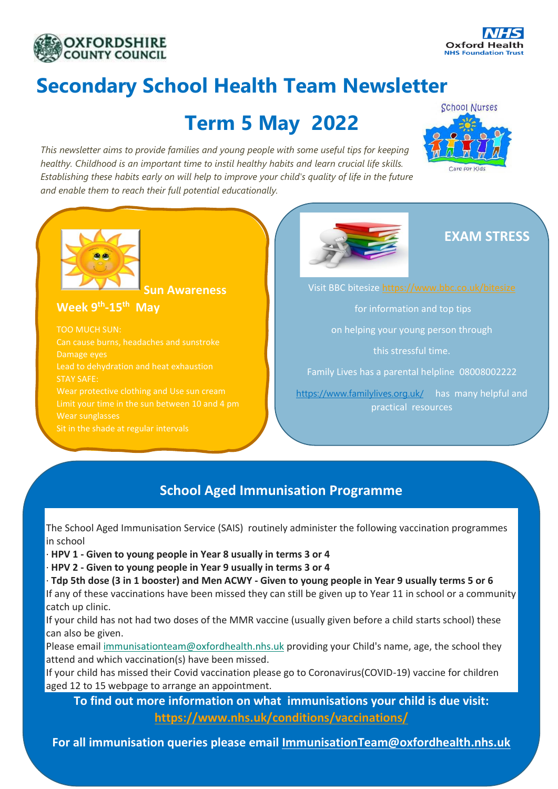



# **Secondary School Health Team Newsletter**

# **Term 5 May 2022**

*This newsletter aims to provide families and young people with some useful tips for keeping healthy. Childhood is an important time to instil healthy habits and learn crucial life skills. Establishing these habits early on will help to improve your child's quality of life in the future and enable them to reach their full potential educationally.*





**Sun Awareness** 

**Week 9 th -15th May**

TOO MUCH SUN: Can cause burns, headaches and sunstroke Damage eyes Lead to dehydration and heat exhaustion STAY SAFE: Wear sunglasses Sit in the shade at regular intervals



## **EXAM STRESS**

for information and top tips

on helping your young person through

this stressful time.

Family Lives has a parental helpline 08008002222

<https://www.familylives.org.uk/> has many helpful and practical resources

## **School Aged Immunisation Programme**

The School Aged Immunisation Service (SAIS) routinely administer the following vaccination programmes in school

· **HPV 1 - Given to young people in Year 8 usually in terms 3 or 4**

· **HPV 2 - Given to young people in Year 9 usually in terms 3 or 4**

· **Tdp 5th dose (3 in 1 booster) and Men ACWY - Given to young people in Year 9 usually terms 5 or 6** If any of these vaccinations have been missed they can still be given up to Year 11 in school or a community catch up clinic.

If your child has not had two doses of the MMR vaccine (usually given before a child starts school) these can also be given.

Please email [immunisationteam@oxfordhealth.nhs.uk](mailto:immunisationteam@oxfordhealth.nhs.uk) providing your Child's name, age, the school they attend and which vaccination(s) have been missed.

If your child has missed their Covid vaccination please go to Coronavirus(COVID-19) vaccine for children aged 12 to 15 webpage to arrange an appointment.

**To find out more information on what immunisations your child is due visit: <https://www.nhs.uk/conditions/vaccinations/>**

**For all immunisation queries please email [ImmunisationTeam@oxfordhealth.nhs.uk](mailto:ImmunisationTeam@oxfordhealth.nhs.uk)**